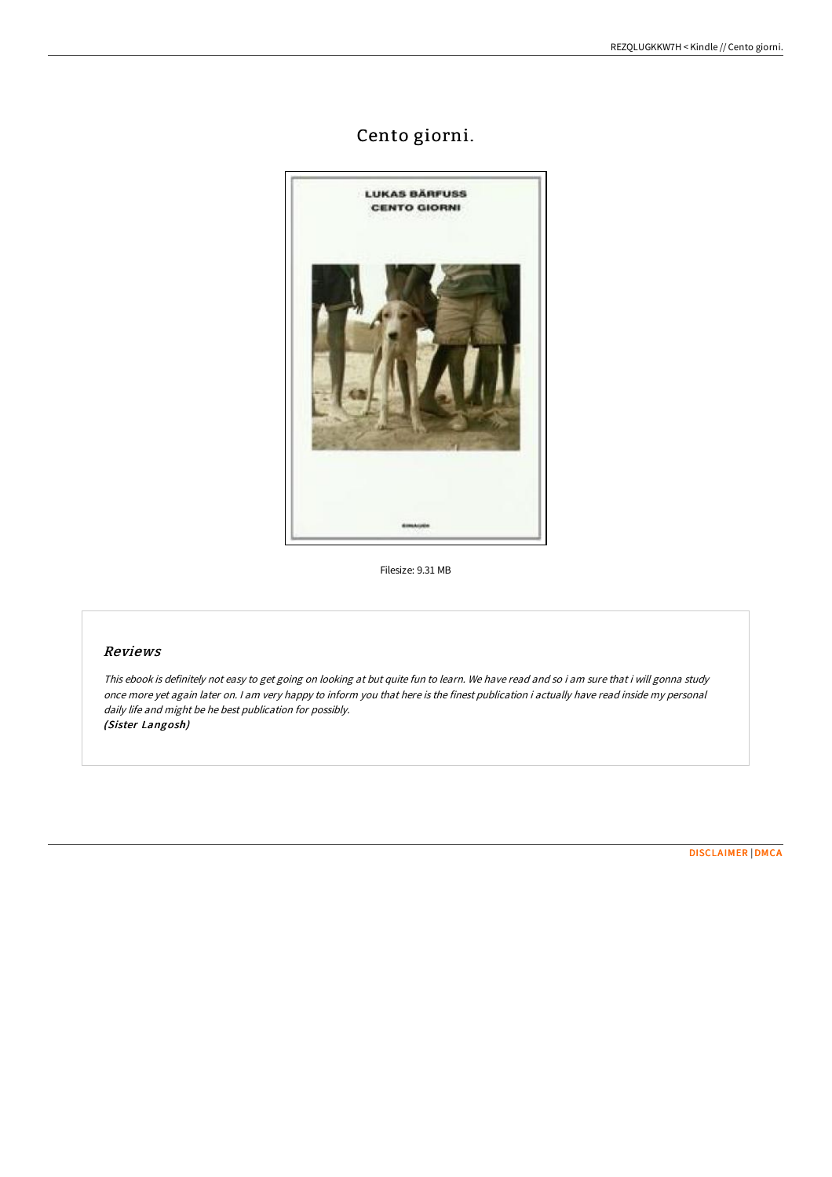# Cento giorni.



Filesize: 9.31 MB

# Reviews

This ebook is definitely not easy to get going on looking at but quite fun to learn. We have read and so i am sure that i will gonna study once more yet again later on. <sup>I</sup> am very happy to inform you that here is the finest publication i actually have read inside my personal daily life and might be he best publication for possibly. (Sister Langosh)

[DISCLAIMER](http://www.bookdirs.com/disclaimer.html) | [DMCA](http://www.bookdirs.com/dmca.html)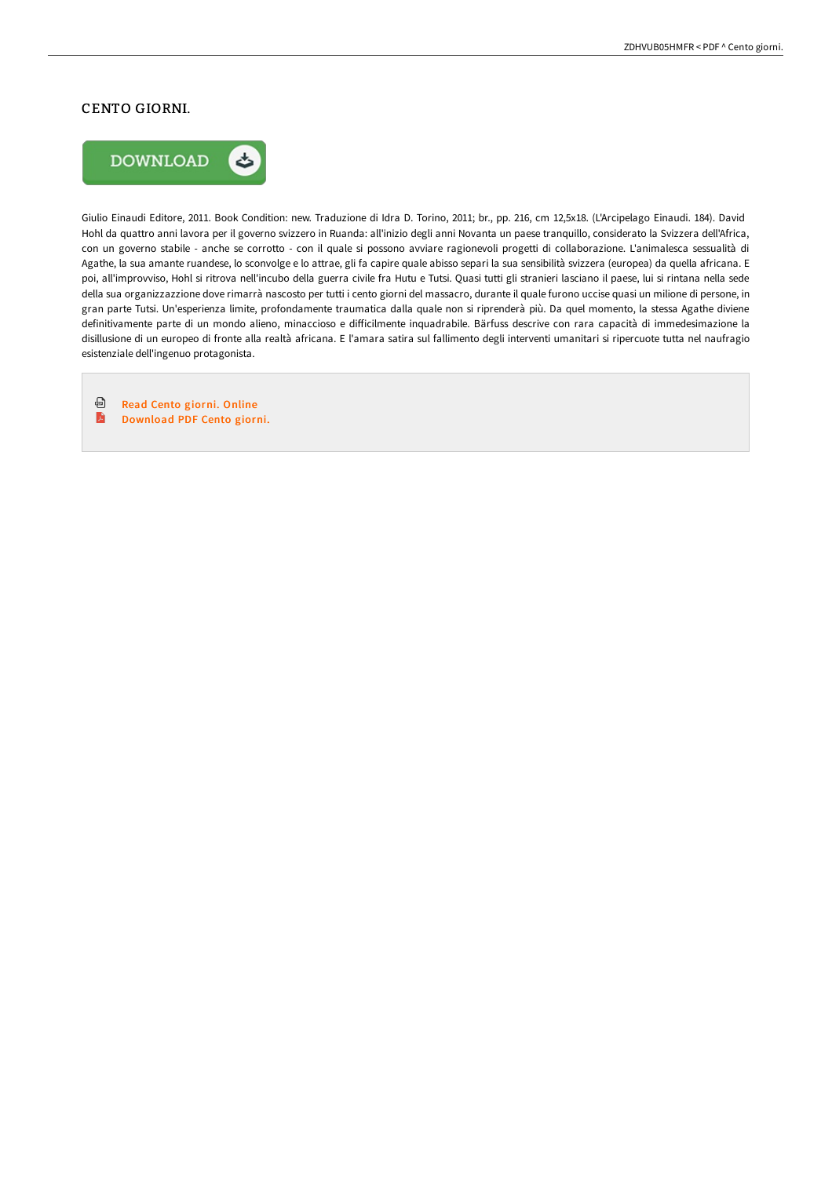# CENTO GIORNI.



Giulio Einaudi Editore, 2011. Book Condition: new. Traduzione di Idra D. Torino, 2011; br., pp. 216, cm 12,5x18. (L'Arcipelago Einaudi. 184). David Hohl da quattro anni lavora per il governo svizzero in Ruanda: all'inizio degli anni Novanta un paese tranquillo, considerato la Svizzera dell'Africa, con un governo stabile - anche se corrotto - con il quale si possono avviare ragionevoli progetti di collaborazione. L'animalesca sessualità di Agathe, la sua amante ruandese, lo sconvolge e lo attrae, gli fa capire quale abisso separi la sua sensibilità svizzera (europea) da quella africana. E poi, all'improvviso, Hohl si ritrova nell'incubo della guerra civile fra Hutu e Tutsi. Quasi tutti gli stranieri lasciano il paese, lui si rintana nella sede della sua organizzazzione dove rimarrà nascosto per tutti i cento giorni del massacro, durante il quale furono uccise quasi un milione di persone, in gran parte Tutsi. Un'esperienza limite, profondamente traumatica dalla quale non si riprenderà più. Da quel momento, la stessa Agathe diviene definitivamente parte di un mondo alieno, minaccioso e diIicilmente inquadrabile. Bärfuss descrive con rara capacità di immedesimazione la disillusione di un europeo di fronte alla realtà africana. E l'amara satira sul fallimento degli interventi umanitari si ripercuote tutta nel naufragio esistenziale dell'ingenuo protagonista.

⊕ Read Cento [giorni.](http://www.bookdirs.com/cento-giorni.html) Online A [Download](http://www.bookdirs.com/cento-giorni.html) PDF Cento giorni.